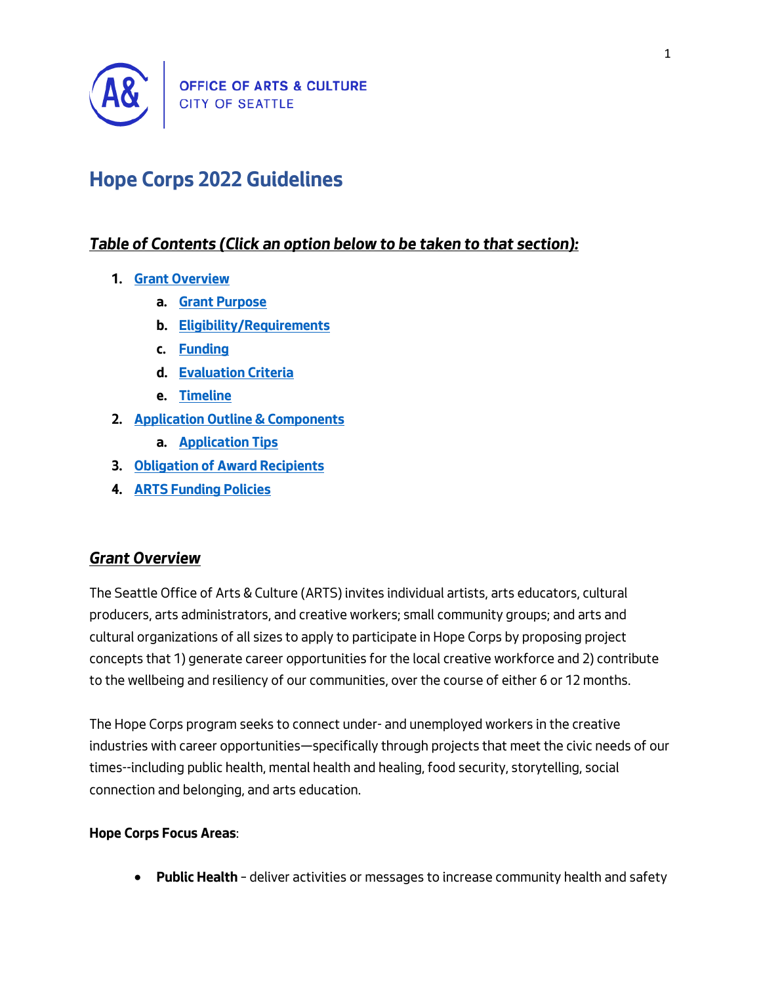

# **Hope Corps 2022 Guidelines**

## *Table of Contents (Click an option below to be taken to that section):*

- **1. [Grant Overview](#page-0-0)**
	- **a. [Grant Purpose](#page-2-0)**
	- **b. [Eligibility/Requirements](#page-3-0)**
	- **c. [Funding](#page-3-1)**
	- **d. [Evaluation Criteria](#page-4-0)**
	- **e. [Timeline](#page-5-0)**
- **2. [Application Outline & Components](#page-5-1)**
	- **a. [Application Tips](#page-6-0)**
- **3. [Obligation of Award Recipients](#page-7-0)**
- **4. [ARTS Funding Policies](#page-7-1)**

## <span id="page-0-0"></span>*Grant Overview*

*The Seattle Office of Arts & Culture (ARTS) invites individual artists, arts educators, cultural producers, arts administrators, and creative workers; small community groups; and arts and cultural organizations of all sizes to apply to participate in Hope Corps by proposing project concepts that 1) generate career opportunities for the local creative workforce and 2) contribute to the wellbeing and resiliency of our communities, over the course of either 6 or 12 months.*

*The Hope Corps program seeks to connect under- and unemployed workers in the creative industries with career opportunities—specifically through projects that meet the civic needs of our times--including public health, mental health and healing, food security, storytelling, social connection and belonging, and arts education.*

## **Hope Corps Focus Areas***:*

• **Public Health** *– deliver activities or messages to increase community health and safety*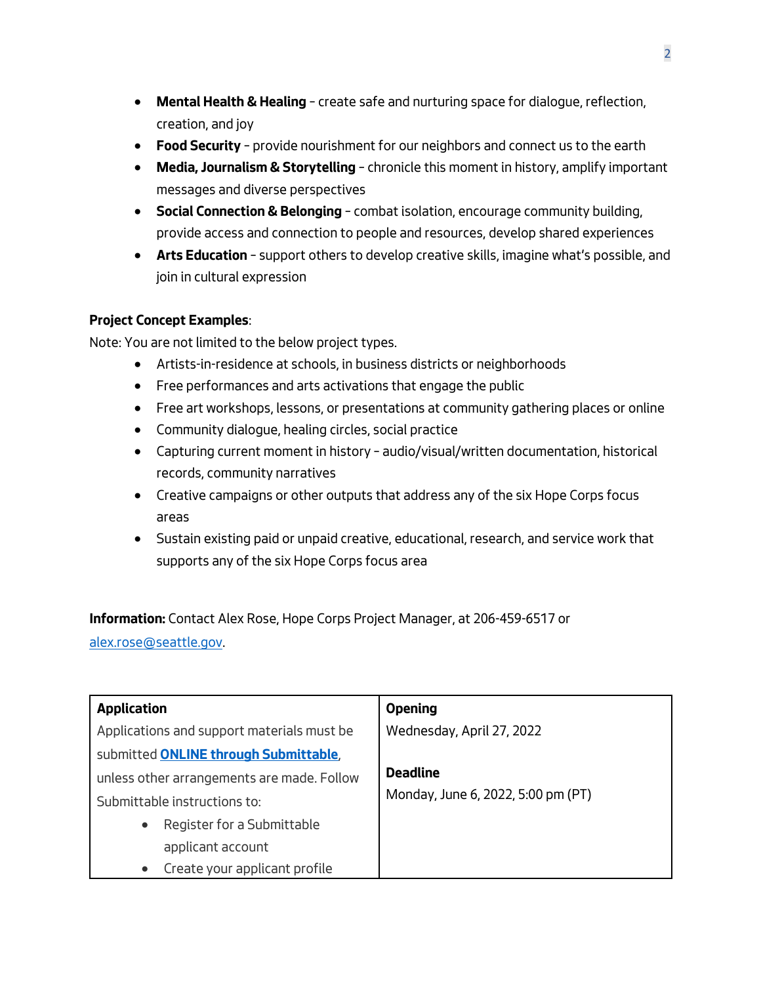- **Mental Health & Healing** *– create safe and nurturing space for dialogue, reflection, creation, and joy*
- **Food Security** *– provide nourishment for our neighbors and connect us to the earth*
- **Media, Journalism & Storytelling** *– chronicle this moment in history, amplify important messages and diverse perspectives*
- **Social Connection & Belonging** *– combat isolation, encourage community building, provide access and connection to people and resources, develop shared experiences*
- **Arts Education** *– support others to develop creative skills, imagine what's possible, and join in cultural expression*

## **Project Concept Examples***:*

*Note: You are not limited to the below project types.*

- *Artists-in-residence at schools, in business districts or neighborhoods*
- *Free performances and arts activations that engage the public*
- *Free art workshops, lessons, or presentations at community gathering places or online*
- *Community dialogue, healing circles, social practice*
- *Capturing current moment in history – audio/visual/written documentation, historical records, community narratives*
- *Creative campaigns or other outputs that address any of the six Hope Corps focus areas*
- *Sustain existing paid or unpaid creative, educational, research, and service work that supports any of the six Hope Corps focus area*

**Information:** *Contact Alex Rose, Hope Corps Project Manager, at 206-459-6517 or [alex.rose@seattle.gov.](mailto:alex.rose@seattle.gov?subject=Hope%20Corps%20inquiry)* 

| <b>Application</b>                         | <b>Opening</b>                     |
|--------------------------------------------|------------------------------------|
| Applications and support materials must be | Wednesday, April 27, 2022          |
| submitted ONLINE through Submittable,      |                                    |
| unless other arrangements are made. Follow | <b>Deadline</b>                    |
| Submittable instructions to:               | Monday, June 6, 2022, 5:00 pm (PT) |
| Register for a Submittable                 |                                    |
| applicant account                          |                                    |
| Create your applicant profile              |                                    |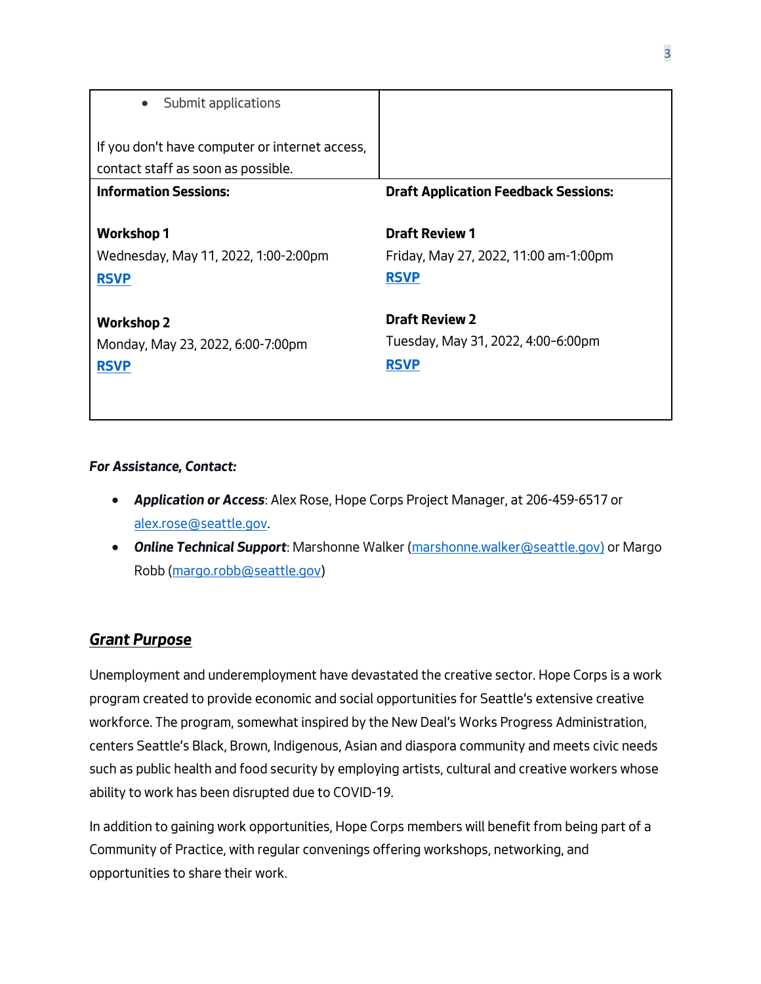| Submit applications                                                                  |                                                                               |
|--------------------------------------------------------------------------------------|-------------------------------------------------------------------------------|
| If you don't have computer or internet access,<br>contact staff as soon as possible. |                                                                               |
| <b>Information Sessions:</b>                                                         | <b>Draft Application Feedback Sessions:</b>                                   |
| Workshop 1<br>Wednesday, May 11, 2022, 1:00-2:00pm<br><b>RSVP</b>                    | <b>Draft Review 1</b><br>Friday, May 27, 2022, 11:00 am-1:00pm<br><b>RSVP</b> |
| <b>Workshop 2</b><br>Monday, May 23, 2022, 6:00-7:00pm<br><b>RSVP</b>                | <b>Draft Review 2</b><br>Tuesday, May 31, 2022, 4:00-6:00pm<br><b>RSVP</b>    |

#### *For Assistance, Contact:*

- *Application or Access: Alex Rose, Hope Corps Project Manager, at 206-459-6517 or [alex.rose@seattle.gov.](mailto:alex.rose@seattle.gov?subject=Hope%20Corps%20inquiry)*
- *Online Technical Support: Marshonne Walker [\(marshonne.walker@seattle.gov\)](mailto:marshonne.walker@seattle.gov) or Margo Robb [\(margo.robb@seattle.gov\)](mailto:margo.robb@seattle.gov)*

## <span id="page-2-0"></span>*Grant Purpose*

*Unemployment and underemployment have devastated the creative sector. Hope Corps is a work program created to provide economic and social opportunities for Seattle's extensive creative workforce. The program, somewhat inspired by the New Deal's Works Progress Administration, centers Seattle's Black, Brown, Indigenous, Asian and diaspora community and meets civic needs such as public health and food security by employing artists, cultural and creative workers whose ability to work has been disrupted due to COVID-19.*

*In addition to gaining work opportunities, Hope Corps members will benefit from being part of a Community of Practice, with regular convenings offering workshops, networking, and opportunities to share their work.*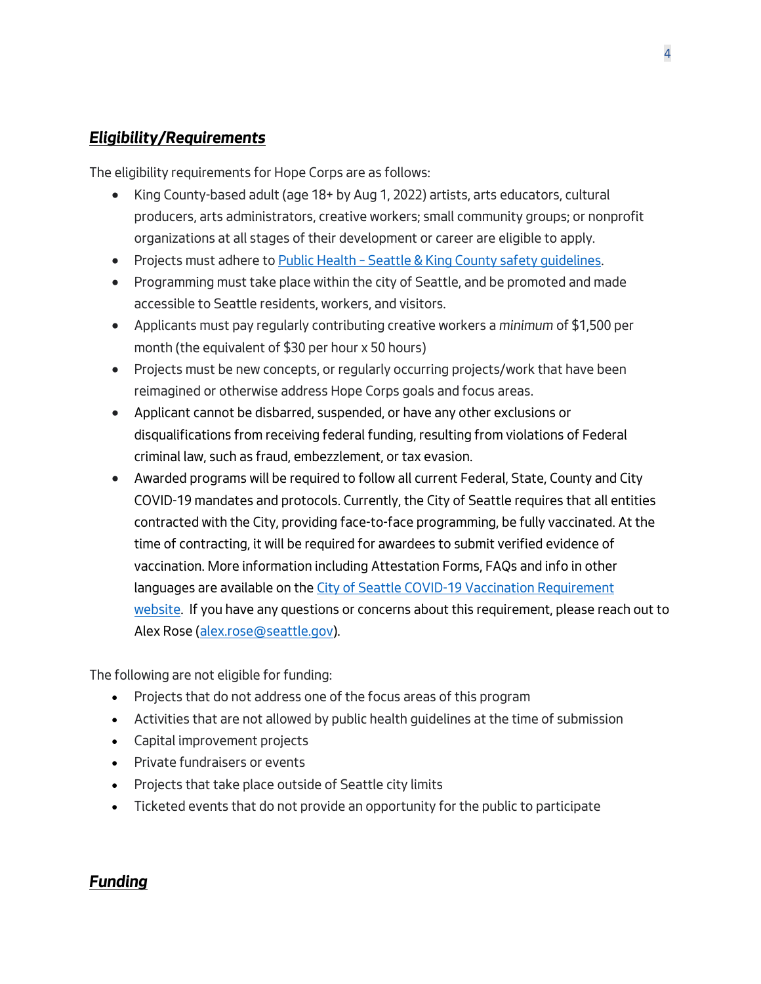## <span id="page-3-0"></span>*Eligibility/Requirements*

*The eligibility requirements for Hope Corps are as follows:*

- *King County-based adult (age 18+ by Aug 1, 2022) artists, arts educators, cultural producers, arts administrators, creative workers; small community groups; or nonprofit organizations at all stages of their development or career are eligible to apply.*
- *Projects must adhere to Public Health – [Seattle & King County safety guidelines.](https://kingcounty.gov/depts/health.aspx)*
- *Programming must take place within the city of Seattle, and be promoted and made accessible to Seattle residents, workers, and visitors.*
- *Applicants must pay regularly contributing creative workers a minimum of \$1,500 per month (the equivalent of \$30 per hour x 50 hours)*
- *Projects must be new concepts, or regularly occurring projects/work that have been reimagined or otherwise address Hope Corps goals and focus areas.*
- *Applicant cannot be disbarred, suspended, or have any other exclusions or disqualifications from receiving federal funding, resulting from violations of Federal criminal law, such as fraud, embezzlement, or tax evasion.*
- *Awarded programs will be required to follow all current Federal, State, County and City COVID-19 mandates and protocols. Currently, the City of Seattle requires that all entities contracted with the City, providing face-to-face programming, be fully vaccinated. At the time of contracting, it will be required for awardees to submit verified evidence of vaccination. More information including Attestation Forms, FAQs and info in other languages are available on the [City of Seattle COVID-19 Vaccination Requirement](https://www.seattle.gov/purchasing-and-contracting/doing-business-with-the-city/covid-19-vaccination-requirements)  [website.](https://www.seattle.gov/purchasing-and-contracting/doing-business-with-the-city/covid-19-vaccination-requirements) If you have any questions or concerns about this requirement, please reach out to Alex Rose [\(alex.rose@seattle.gov\)](mailto:alex.rose@seattle.gov?subject=Hope%20Corps%20inquiry).*

*The following are not eligible for funding:*

- *Projects that do not address one of the focus areas of this program*
- *Activities that are not allowed by public health guidelines at the time of submission*
- *Capital improvement projects*
- *Private fundraisers or events*
- *Projects that take place outside of Seattle city limits*
- *Ticketed events that do not provide an opportunity for the public to participate*

## <span id="page-3-1"></span>*Funding*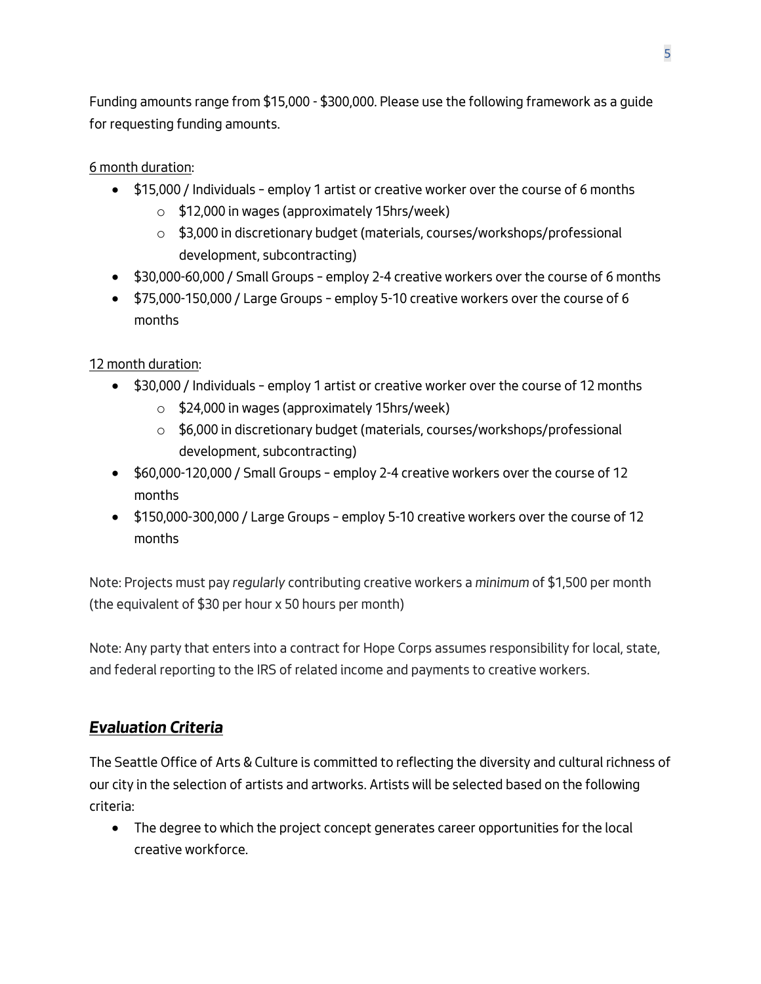*Funding amounts range from \$15,000 - \$300,000. Please use the following framework as a guide for requesting funding amounts.*

*6 month duration:*

- *\$15,000 / Individuals – employ 1 artist or creative worker over the course of 6 months*
	- o *\$12,000 in wages (approximately 15hrs/week)*
	- o *\$3,000 in discretionary budget (materials, courses/workshops/professional development, subcontracting)*
- *\$30,000-60,000 / Small Groups – employ 2-4 creative workers over the course of 6 months*
- *\$75,000-150,000 / Large Groups – employ 5-10 creative workers over the course of 6 months*

*12 month duration:*

- *\$30,000 / Individuals – employ 1 artist or creative worker over the course of 12 months*
	- o *\$24,000 in wages (approximately 15hrs/week)*
	- o *\$6,000 in discretionary budget (materials, courses/workshops/professional development, subcontracting)*
- *\$60,000-120,000 / Small Groups – employ 2-4 creative workers over the course of 12 months*
- *\$150,000-300,000 / Large Groups – employ 5-10 creative workers over the course of 12 months*

*Note: Projects must pay regularly contributing creative workers a minimum of \$1,500 per month (the equivalent of \$30 per hour x 50 hours per month)*

*Note: Any party that enters into a contract for Hope Corps assumes responsibility for local, state, and federal reporting to the IRS of related income and payments to creative workers.*

# <span id="page-4-0"></span>*Evaluation Criteria*

*The Seattle Office of Arts & Culture is committed to reflecting the diversity and cultural richness of our city in the selection of artists and artworks. Artists will be selected based on the following criteria:*

• *The degree to which the project concept generates career opportunities for the local creative workforce.*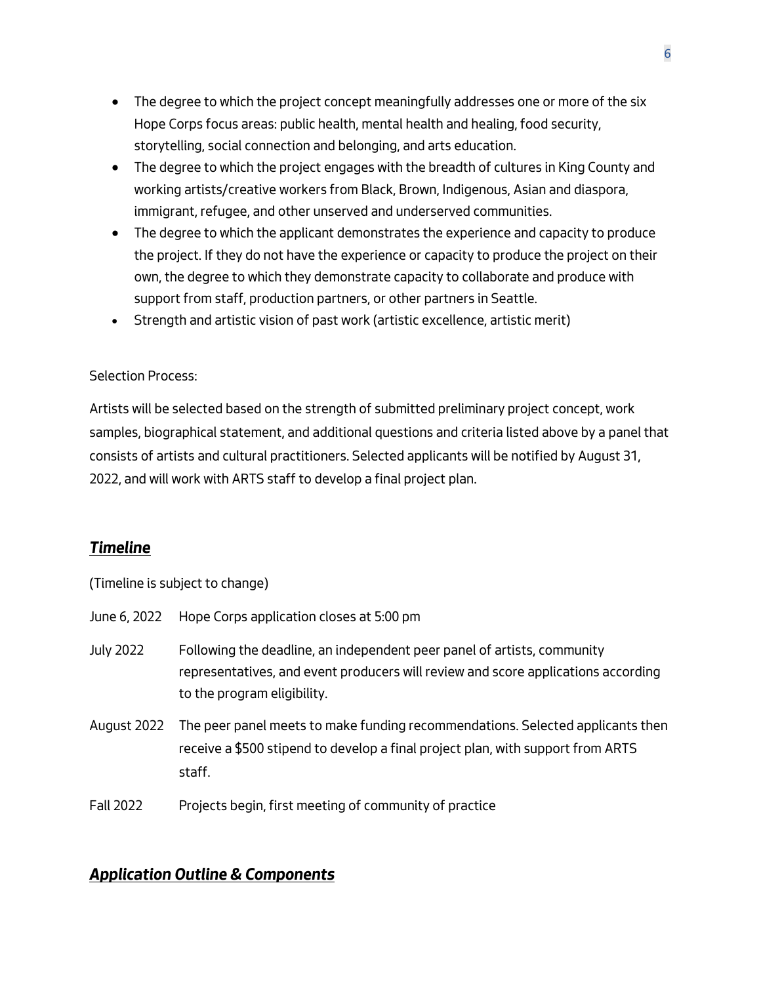- *The degree to which the project concept meaningfully addresses one or more of the six Hope Corps focus areas: public health, mental health and healing, food security, storytelling, social connection and belonging, and arts education.*
- *The degree to which the project engages with the breadth of cultures in King County and working artists/creative workers from Black, Brown, Indigenous, Asian and diaspora, immigrant, refugee, and other unserved and underserved communities.*
- *The degree to which the applicant demonstrates the experience and capacity to produce the project. If they do not have the experience or capacity to produce the project on their own, the degree to which they demonstrate capacity to collaborate and produce with support from staff, production partners, or other partners in Seattle.*
- *Strength and artistic vision of past work (artistic excellence, artistic merit)*

### *Selection Process:*

*Artists will be selected based on the strength of submitted preliminary project concept, work samples, biographical statement, and additional questions and criteria listed above by a panel that consists of artists and cultural practitioners. Selected applicants will be notified by August 31, 2022, and will work with ARTS staff to develop a final project plan.* 

## <span id="page-5-0"></span>*Timeline*

*(Timeline is subject to change)*

| June 6, 2022     | Hope Corps application closes at 5:00 pm                                                                                                                                                    |
|------------------|---------------------------------------------------------------------------------------------------------------------------------------------------------------------------------------------|
| <b>July 2022</b> | Following the deadline, an independent peer panel of artists, community<br>representatives, and event producers will review and score applications according<br>to the program eligibility. |
| August 2022      | The peer panel meets to make funding recommendations. Selected applicants then<br>receive a \$500 stipend to develop a final project plan, with support from ARTS<br>staff.                 |

*Fall 2022 Projects begin, first meeting of community of practice* 

## <span id="page-5-1"></span>*Application Outline & Components*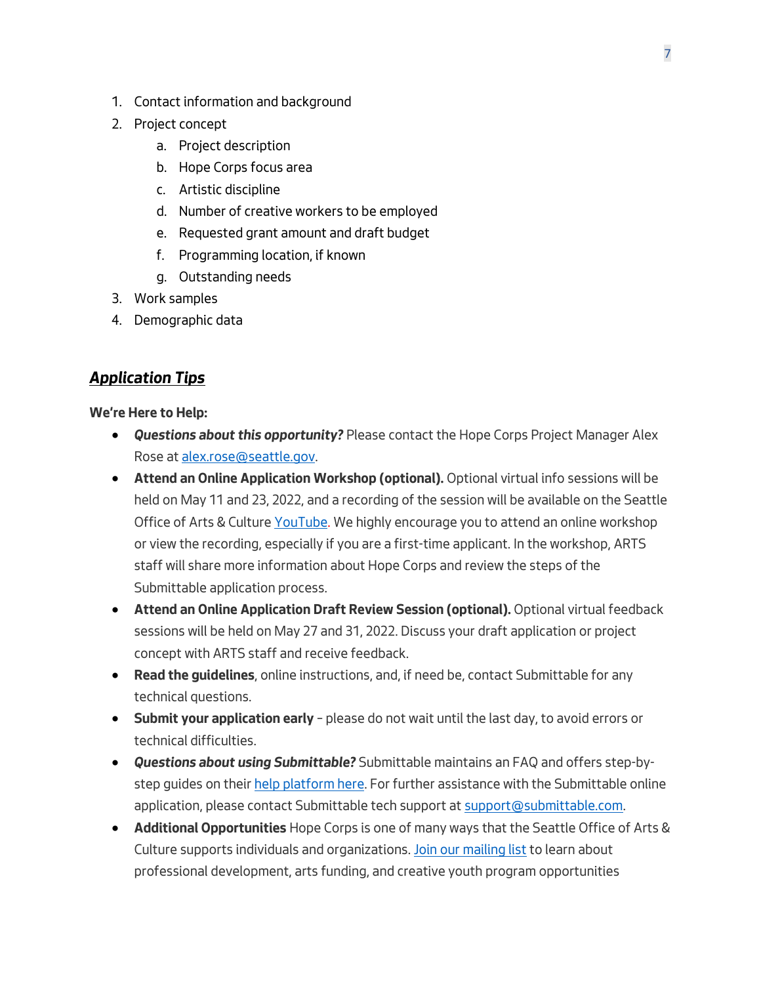- *1. Contact information and background*
- *2. Project concept*
	- *a. Project description*
	- *b. Hope Corps focus area*
	- *c. Artistic discipline*
	- *d. Number of creative workers to be employed*
	- *e. Requested grant amount and draft budget*
	- *f. Programming location, if known*
	- *g. Outstanding needs*
- *3. Work samples*
- *4. Demographic data*

## <span id="page-6-0"></span>*Application Tips*

**We're Here to Help:**

- *Questions about this opportunity? Please contact the Hope Corps Project Manager Alex Rose a[t alex.rose@seattle.gov.](mailto:alex.rose@seattle.gov?subject=Hope%20Corps%20inquiry)*
- **Attend an Online Application Workshop (optional).** *Optional virtual info sessions will be held on May 11 and 23, 2022, and a recording of the session will be available on the [Seattle](https://www.youtube.com/channel/UCHddWze9zU0aDC8q3G7LcGA)  [Office of Arts & Culture YouTube.](https://www.youtube.com/channel/UCHddWze9zU0aDC8q3G7LcGA) We highly encourage you to attend an online workshop or view the recording, especially if you are a first-time applicant. In the workshop, ARTS staff will share more information about Hope Corps and review the steps of the Submittable application process.*
- **Attend an Online Application Draft Review Session (optional).** *Optional virtual feedback sessions will be held on May 27 and 31, 2022. Discuss your draft application or project concept with ARTS staff and receive feedback.*
- **Read the guidelines***, online instructions, and, if need be, contact Submittable for any technical questions.*
- **Submit your application early** *– please do not wait until the last day, to avoid errors or technical difficulties.*
- *Questions about using Submittable? Submittable maintains an FAQ and offers step-bystep guides on their [help platform here.](https://www.submittable.com/help/submitter/) For further assistance with the Submittable online application, please contact Submittable tech support at [support@submittable.com.](mailto:support@submittable.com)*
- **Additional Opportunities** *Hope Corps is one of many ways that the Seattle Office of Arts & Culture supports individuals and organizations. [Join our mailing list](https://public.govdelivery.com/accounts/WASEATTLE/subscriber/new?qsp=WASEATTLE_62) to learn about professional development, arts funding, and creative youth program opportunities*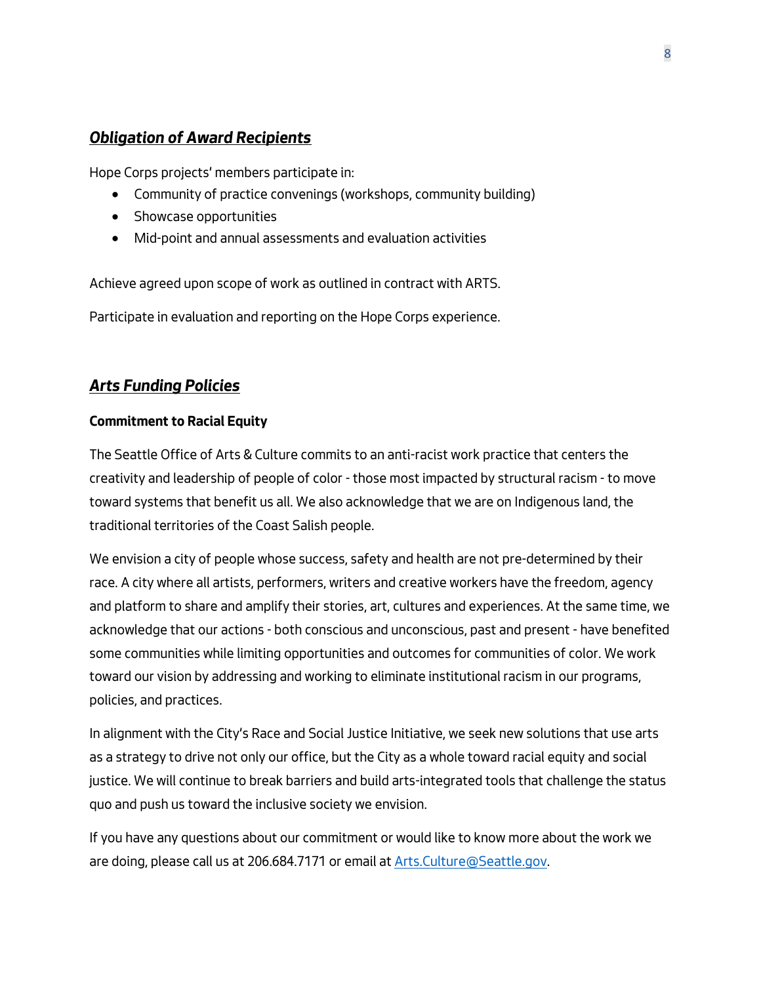## <span id="page-7-0"></span>*Obligation of Award Recipients*

*Hope Corps projects' members participate in:* 

- *Community of practice convenings (workshops, community building)*
- *Showcase opportunities*
- *Mid-point and annual assessments and evaluation activities*

*Achieve agreed upon scope of work as outlined in contract with ARTS.*

*Participate in evaluation and reporting on the Hope Corps experience.* 

## <span id="page-7-1"></span>*Arts Funding Policies*

## **Commitment to Racial Equity**

*The Seattle Office of Arts & Culture commits to an anti-racist work practice that centers the creativity and leadership of people of color - those most impacted by structural racism - to move toward systems that benefit us all. We also acknowledge that we are on Indigenous land, the traditional territories of the Coast Salish people.*

*We envision a city of people whose success, safety and health are not pre-determined by their race. A city where all artists, performers, writers and creative workers have the freedom, agency and platform to share and amplify their stories, art, cultures and experiences. At the same time, we acknowledge that our actions - both conscious and unconscious, past and present - have benefited some communities while limiting opportunities and outcomes for communities of color. We work toward our vision by addressing and working to eliminate institutional racism in our programs, policies, and practices.* 

*In alignment with the City's Race and Social Justice Initiative, we seek new solutions that use arts as a strategy to drive not only our office, but the City as a whole toward racial equity and social justice. We will continue to break barriers and build arts-integrated tools that challenge the status quo and push us toward the inclusive society we envision.* 

*If you have any questions about our commitment or would like to know more about the work we are doing, please call us at 206.684.7171 or email a[t Arts.Culture@Seattle.gov.](mailto:Arts.Culture@Seattle.gov)*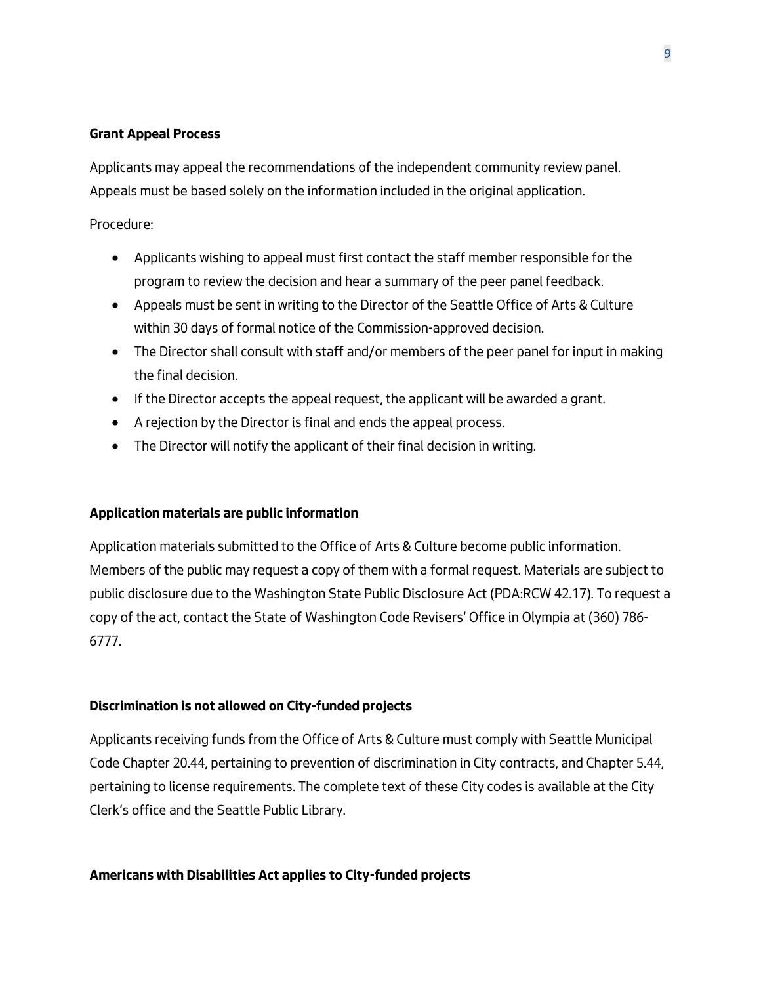### **Grant Appeal Process**

*Applicants may appeal the recommendations of the independent community review panel. Appeals must be based solely on the information included in the original application.*

### *Procedure:*

- *Applicants wishing to appeal must first contact the staff member responsible for the program to review the decision and hear a summary of the peer panel feedback.*
- *Appeals must be sent in writing to the Director of the Seattle Office of Arts & Culture within 30 days of formal notice of the Commission-approved decision.*
- *The Director shall consult with staff and/or members of the peer panel for input in making the final decision.*
- *If the Director accepts the appeal request, the applicant will be awarded a grant.*
- *A rejection by the Director is final and ends the appeal process.*
- *The Director will notify the applicant of their final decision in writing.*

#### **Application materials are public information**

*Application materials submitted to the Office of Arts & Culture become public information. Members of the public may request a copy of them with a formal request. Materials are subject to public disclosure due to the Washington State Public Disclosure Act (PDA:RCW 42.17). To request a copy of the act, contact the State of Washington Code Revisers' Office in Olympia at (360) 786- 6777.* 

#### **Discrimination is not allowed on City-funded projects**

*Applicants receiving funds from the Office of Arts & Culture must comply with Seattle Municipal Code Chapter 20.44, pertaining to prevention of discrimination in City contracts, and Chapter 5.44, pertaining to license requirements. The complete text of these City codes is available at the City Clerk's office and the Seattle Public Library.*

#### **Americans with Disabilities Act applies to City-funded projects**